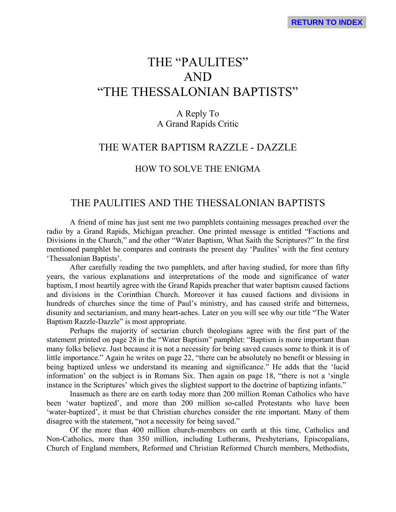# THE "PAULITES" AND "THE THESSALONIAN BAPTISTS"

# A Reply To A Grand Rapids Critic

# THE WATER BAPTISM RAZZLE - DAZZLE

# HOW TO SOLVE THE ENIGMA

# THE PAULITIES AND THE THESSALONIAN BAPTISTS

A friend of mine has just sent me two pamphlets containing messages preached over the radio by a Grand Rapids, Michigan preacher. One printed message is entitled "Factions and Divisions in the Church," and the other "Water Baptism, What Saith the Scriptures?" In the first mentioned pamphlet he compares and contrasts the present day 'Paulites' with the first century 'Thessalonian Baptists'.

After carefully reading the two pamphlets, and after having studied, for more than fifty years, the various explanations and interpretations of the mode and significance of water baptism, I most heartily agree with the Grand Rapids preacher that water baptism caused factions and divisions in the Corinthian Church. Moreover it has caused factions and divisions in hundreds of churches since the time of Paul's ministry, and has caused strife and bitterness, disunity and sectarianism, and many heart-aches. Later on you will see why our title "The Water Baptism Razzle-Dazzle" is most appropriate.

Perhaps the majority of sectarian church theologians agree with the first part of the statement printed on page 28 in the "Water Baptism" pamphlet: "Baptism is more important than many folks believe. Just because it is not a necessity for being saved causes some to think it is of little importance." Again he writes on page 22, "there can be absolutely no benefit or blessing in being baptized unless we understand its meaning and significance." He adds that the 'lucid information' on the subject is in Romans Six. Then again on page 18, "there is not a 'single instance in the Scriptures' which gives the slightest support to the doctrine of baptizing infants."

Inasmuch as there are on earth today more than 200 million Roman Catholics who have been 'water baptized', and more than 200 million so-called Protestants who have been 'water-baptized', it must be that Christian churches consider the rite important. Many of them disagree with the statement, "not a necessity for being saved."

Of the more than 400 million church-members on earth at this time, Catholics and Non-Catholics, more than 350 million, including Lutherans, Presbyterians, Episcopalians, Church of England members, Reformed and Christian Reformed Church members, Methodists,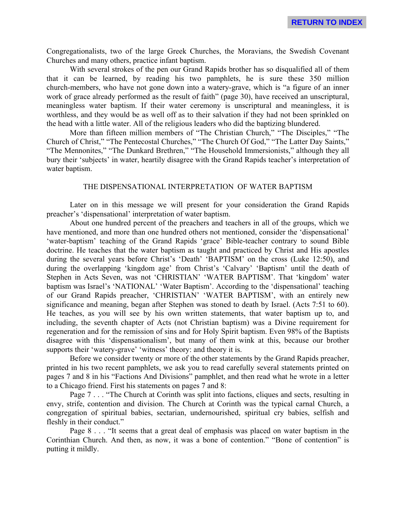Congregationalists, two of the large Greek Churches, the Moravians, the Swedish Covenant Churches and many others, practice infant baptism.

With several strokes of the pen our Grand Rapids brother has so disqualified all of them that it can be learned, by reading his two pamphlets, he is sure these 350 million church-members, who have not gone down into a watery-grave, which is "a figure of an inner work of grace already performed as the result of faith" (page 30), have received an unscriptural, meaningless water baptism. If their water ceremony is unscriptural and meaningless, it is worthless, and they would be as well off as to their salvation if they had not been sprinkled on the head with a little water. All of the religious leaders who did the baptizing blundered.

More than fifteen million members of "The Christian Church," "The Disciples," "The Church of Christ," "The Pentecostal Churches," "The Church Of God," "The Latter Day Saints," "The Mennonites," "The Dunkard Brethren," "The Household Immersionists," although they all bury their 'subjects' in water, heartily disagree with the Grand Rapids teacher's interpretation of water baptism.

#### THE DISPENSATIONAL INTERPRETATION OF WATER BAPTISM

Later on in this message we will present for your consideration the Grand Rapids preacher's 'dispensational' interpretation of water baptism.

About one hundred percent of the preachers and teachers in all of the groups, which we have mentioned, and more than one hundred others not mentioned, consider the 'dispensational' 'water-baptism' teaching of the Grand Rapids 'grace' Bible-teacher contrary to sound Bible doctrine. He teaches that the water baptism as taught and practiced by Christ and His apostles during the several years before Christ's 'Death' 'BAPTISM' on the cross (Luke 12:50), and during the overlapping 'kingdom age' from Christ's 'Calvary' 'Baptism' until the death of Stephen in Acts Seven, was not 'CHRISTIAN' 'WATER BAPTISM'. That 'kingdom' water baptism was Israel's 'NATIONAL' 'Water Baptism'. According to the 'dispensational' teaching of our Grand Rapids preacher, 'CHRISTIAN' 'WATER BAPTISM', with an entirely new significance and meaning, began after Stephen was stoned to death by Israel. (Acts 7:51 to 60). He teaches, as you will see by his own written statements, that water baptism up to, and including, the seventh chapter of Acts (not Christian baptism) was a Divine requirement for regeneration and for the remission of sins and for Holy Spirit baptism. Even 98% of the Baptists disagree with this 'dispensationalism', but many of them wink at this, because our brother supports their 'watery-grave' 'witness' theory: and theory it is.

Before we consider twenty or more of the other statements by the Grand Rapids preacher, printed in his two recent pamphlets, we ask you to read carefully several statements printed on pages 7 and 8 in his "Factions And Divisions" pamphlet, and then read what he wrote in a letter to a Chicago friend. First his statements on pages 7 and 8:

Page 7 . . . "The Church at Corinth was split into factions, cliques and sects, resulting in envy, strife, contention and division. The Church at Corinth was the typical carnal Church, a congregation of spiritual babies, sectarian, undernourished, spiritual cry babies, selfish and fleshly in their conduct."

Page 8 . . . "It seems that a great deal of emphasis was placed on water baptism in the Corinthian Church. And then, as now, it was a bone of contention." "Bone of contention" is putting it mildly.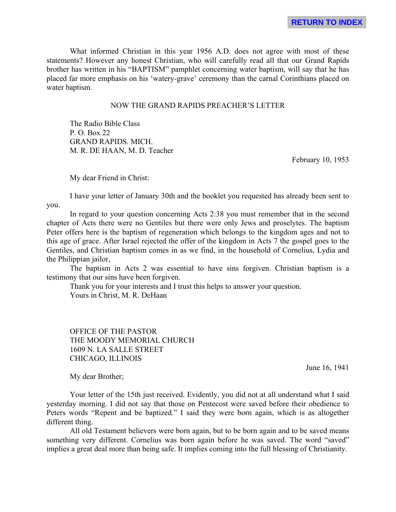What informed Christian in this year 1956 A.D. does not agree with most of these statements? However any honest Christian, who will carefully read all that our Grand Rapids brother has written in his "BAPTISM" pamphlet concerning water baptism, will say that he has placed far more emphasis on his 'watery-grave' ceremony than the carnal Corinthians placed on water baptism.

#### NOW THE GRAND RAPIDS PREACHER'S LETTER

The Radio Bible Class P. O. Box 22 GRAND RAPIDS. MICH. M. R. DE HAAN, M. D. Teacher

February 10, 1953

My dear Friend in Christ:

I have your letter of January 30th and the booklet you requested has already been sent to you.

In regard to your question concerning Acts 2:38 you must remember that in the second chapter of Acts there were no Gentiles but there were only Jews and proselytes. The baptism Peter offers here is the baptism of regeneration which belongs to the kingdom ages and not to this age of grace. After Israel rejected the offer of the kingdom in Acts 7 the gospel goes to the Gentiles, and Christian baptism comes in as we find, in the household of Cornelius, Lydia and the Philippian jailor,

The baptism in Acts 2 was essential to have sins forgiven. Christian baptism is a testimony that our sins have been forgiven.

Thank you for your interests and I trust this helps to answer your question. Yours in Christ, M. R. DeHaan

OFFICE OF THE PASTOR THE MOODY MEMORIAL CHURCH 1609 N. LA SALLE STREET CHICAGO, ILLINOIS

June 16, 1941

My dear Brother;

Your letter of the 15th just received. Evidently, you did not at all understand what I said yesterday morning. I did not say that those on Pentecost were saved before their obedience to Peters words "Repent and be baptized." I said they were born again, which is as altogether different thing.

All old Testament believers were born again, but to be born again and to be saved means something very different. Cornelius was born again before he was saved. The word "saved" implies a great deal more than being safe. It implies coming into the full blessing of Christianity.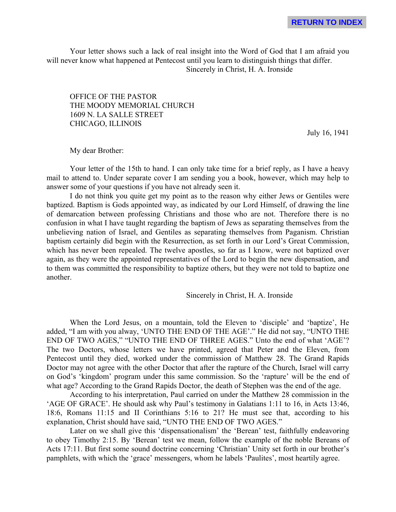Your letter shows such a lack of real insight into the Word of God that I am afraid you will never know what happened at Pentecost until you learn to distinguish things that differ. Sincerely in Christ, H. A. Ironside

OFFICE OF THE PASTOR THE MOODY MEMORIAL CHURCH 1609 N. LA SALLE STREET CHICAGO, ILLINOIS

July 16, 1941

My dear Brother:

Your letter of the 15th to hand. I can only take time for a brief reply, as I have a heavy mail to attend to. Under separate cover I am sending you a book, however, which may help to answer some of your questions if you have not already seen it.

I do not think you quite get my point as to the reason why either Jews or Gentiles were baptized. Baptism is Gods appointed way, as indicated by our Lord Himself, of drawing the line of demarcation between professing Christians and those who are not. Therefore there is no confusion in what I have taught regarding the baptism of Jews as separating themselves from the unbelieving nation of Israel, and Gentiles as separating themselves from Paganism. Christian baptism certainly did begin with the Resurrection, as set forth in our Lord's Great Commission, which has never been repealed. The twelve apostles, so far as I know, were not baptized over again, as they were the appointed representatives of the Lord to begin the new dispensation, and to them was committed the responsibility to baptize others, but they were not told to baptize one another.

Sincerely in Christ, H. A. Ironside

When the Lord Jesus, on a mountain, told the Eleven to 'disciple' and 'baptize', He added, "I am with you alway, 'UNTO THE END OF THE AGE'." He did not say, "UNTO THE END OF TWO AGES," "UNTO THE END OF THREE AGES." Unto the end of what 'AGE'? The two Doctors, whose letters we have printed, agreed that Peter and the Eleven, from Pentecost until they died, worked under the commission of Matthew 28. The Grand Rapids Doctor may not agree with the other Doctor that after the rapture of the Church, Israel will carry on God's 'kingdom' program under this same commission. So the 'rapture' will be the end of what age? According to the Grand Rapids Doctor, the death of Stephen was the end of the age.

According to his interpretation, Paul carried on under the Matthew 28 commission in the 'AGE OF GRACE'. He should ask why Paul's testimony in Galatians 1:11 to 16, in Acts 13:46, 18:6, Romans 11:15 and II Corinthians 5:16 to 21? He must see that, according to his explanation, Christ should have said, "UNTO THE END OF TWO AGES."

Later on we shall give this 'dispensationalism' the 'Berean' test, faithfully endeavoring to obey Timothy 2:15. By 'Berean' test we mean, follow the example of the noble Bereans of Acts 17:11. But first some sound doctrine concerning 'Christian' Unity set forth in our brother's pamphlets, with which the 'grace' messengers, whom he labels 'Paulites', most heartily agree.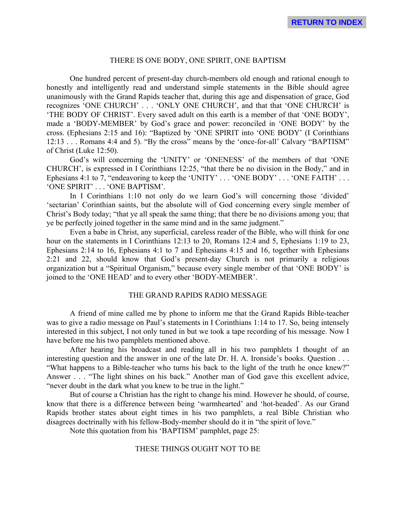# THERE IS ONE BODY, ONE SPIRIT, ONE BAPTISM

One hundred percent of present-day church-members old enough and rational enough to honestly and intelligently read and understand simple statements in the Bible should agree unanimously with the Grand Rapids teacher that, during this age and dispensation of grace, God recognizes 'ONE CHURCH' . . . 'ONLY ONE CHURCH', and that that 'ONE CHURCH' is 'THE BODY OF CHRIST'. Every saved adult on this earth is a member of that 'ONE BODY', made a 'BODY-MEMBER' by God's grace and power: reconciled in 'ONE BODY' by the cross. (Ephesians 2:15 and 16): "Baptized by 'ONE SPIRIT into 'ONE BODY' (I Corinthians 12:13 . . . Romans 4:4 and 5). "By the cross" means by the 'once-for-all' Calvary "BAPTISM" of Christ (Luke 12:50).

God's will concerning the 'UNITY' or 'ONENESS' of the members of that 'ONE CHURCH', is expressed in I Corinthians 12:25, "that there be no division in the Body," and in Ephesians 4:1 to 7, "endeavoring to keep the 'UNITY' ... 'ONE BODY' ... 'ONE FAITH' ... 'ONE SPIRIT' . . . 'ONE BAPTISM'.

In I Corinthians 1:10 not only do we learn God's will concerning those 'divided' 'sectarian' Corinthian saints, but the absolute will of God concerning every single member of Christ's Body today; "that ye all speak the same thing; that there be no divisions among you; that ye be perfectly joined together in the same mind and in the same judgment."

Even a babe in Christ, any superficial, careless reader of the Bible, who will think for one hour on the statements in I Corinthians 12:13 to 20, Romans 12:4 and 5, Ephesians 1:19 to 23, Ephesians 2:14 to 16, Ephesians 4:1 to 7 and Ephesians 4:15 and 16, together with Ephesians 2:21 and 22, should know that God's present-day Church is not primarily a religious organization but a "Spiritual Organism," because every single member of that 'ONE BODY' is joined to the 'ONE HEAD' and to every other 'BODY-MEMBER'.

# THE GRAND RAPIDS RADIO MESSAGE

A friend of mine called me by phone to inform me that the Grand Rapids Bible-teacher was to give a radio message on Paul's statements in I Corinthians 1:14 to 17. So, being intensely interested in this subject, I not only tuned in but we took a tape recording of his message. Now I have before me his two pamphlets mentioned above.

After hearing his broadcast and reading all in his two pamphlets I thought of an interesting question and the answer in one of the late Dr. H. A. Ironside's books. Question . . . "What happens to a Bible-teacher who turns his back to the light of the truth he once knew?" Answer . . . "The light shines on his back." Another man of God gave this excellent advice, "never doubt in the dark what you knew to be true in the light."

But of course a Christian has the right to change his mind. However he should, of course, know that there is a difference between being 'warmhearted' and 'hot-headed'. As our Grand Rapids brother states about eight times in his two pamphlets, a real Bible Christian who disagrees doctrinally with his fellow-Body-member should do it in "the spirit of love."

Note this quotation from his 'BAPTISM' pamphlet, page 25:

#### THESE THINGS OUGHT NOT TO BE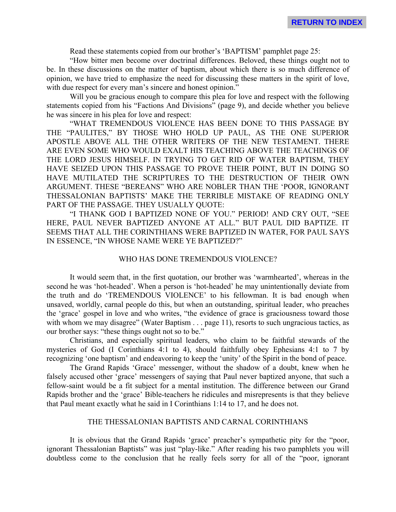Read these statements copied from our brother's 'BAPTISM' pamphlet page 25:

"How bitter men become over doctrinal differences. Beloved, these things ought not to be. In these discussions on the matter of baptism, about which there is so much difference of opinion, we have tried to emphasize the need for discussing these matters in the spirit of love, with due respect for every man's sincere and honest opinion."

Will you be gracious enough to compare this plea for love and respect with the following statements copied from his "Factions And Divisions" (page 9), and decide whether you believe he was sincere in his plea for love and respect:

"WHAT TREMENDOUS VIOLENCE HAS BEEN DONE TO THIS PASSAGE BY THE "PAULITES," BY THOSE WHO HOLD UP PAUL, AS THE ONE SUPERIOR APOSTLE ABOVE ALL THE OTHER WRITERS OF THE NEW TESTAMENT. THERE ARE EVEN SOME WHO WOULD EXALT HIS TEACHING ABOVE THE TEACHINGS OF THE LORD JESUS HIMSELF. IN TRYING TO GET RID OF WATER BAPTISM, THEY HAVE SEIZED UPON THIS PASSAGE TO PROVE THEIR POINT, BUT IN DOING SO HAVE MUTILATED THE SCRIPTURES TO THE DESTRUCTION OF THEIR OWN ARGUMENT. THESE "BEREANS" WHO ARE NOBLER THAN THE 'POOR, IGNORANT THESSALONIAN BAPTISTS' MAKE THE TERRIBLE MISTAKE OF READING ONLY PART OF THE PASSAGE. THEY USUALLY QUOTE:

"I THANK GOD I BAPTIZED NONE OF YOU." PERIOD! AND CRY OUT, "SEE HERE, PAUL NEVER BAPTIZED ANYONE AT ALL." BUT PAUL DID BAPTIZE. IT SEEMS THAT ALL THE CORINTHIANS WERE BAPTIZED IN WATER, FOR PAUL SAYS IN ESSENCE, "IN WHOSE NAME WERE YE BAPTIZED?"

#### WHO HAS DONE TREMENDOUS VIOLENCE?

It would seem that, in the first quotation, our brother was 'warmhearted', whereas in the second he was 'hot-headed'. When a person is 'hot-headed' he may unintentionally deviate from the truth and do 'TREMENDOUS VIOLENCE' to his fellowman. It is bad enough when unsaved, worldly, carnal people do this, but when an outstanding, spiritual leader, who preaches the 'grace' gospel in love and who writes, "the evidence of grace is graciousness toward those with whom we may disagree" (Water Baptism . . . page 11), resorts to such ungracious tactics, as our brother says: "these things ought not so to be."

Christians, and especially spiritual leaders, who claim to be faithful stewards of the mysteries of God (I Corinthians 4:1 to 4), should faithfully obey Ephesians 4:1 to 7 by recognizing 'one baptism' and endeavoring to keep the 'unity' of the Spirit in the bond of peace.

The Grand Rapids 'Grace' messenger, without the shadow of a doubt, knew when he falsely accused other 'grace' messengers of saying that Paul never baptized anyone, that such a fellow-saint would be a fit subject for a mental institution. The difference between our Grand Rapids brother and the 'grace' Bible-teachers he ridicules and misrepresents is that they believe that Paul meant exactly what he said in I Corinthians 1:14 to 17, and he does not.

## THE THESSALONIAN BAPTISTS AND CARNAL CORINTHIANS

It is obvious that the Grand Rapids 'grace' preacher's sympathetic pity for the "poor, ignorant Thessalonian Baptists" was just "play-like." After reading his two pamphlets you will doubtless come to the conclusion that he really feels sorry for all of the "poor, ignorant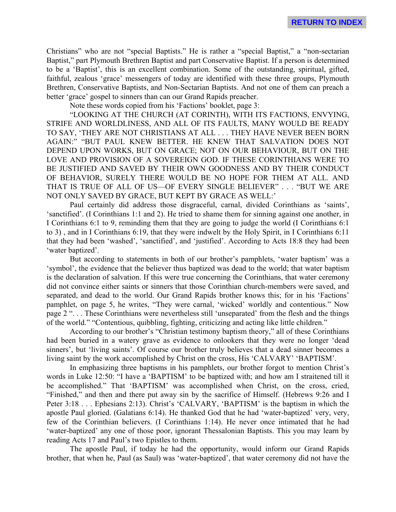Christians" who are not "special Baptists." He is rather a "special Baptist," a "non-sectarian Baptist," part Plymouth Brethren Baptist and part Conservative Baptist. If a person is determined to be a 'Baptist', this is an excellent combination. Some of the outstanding, spiritual, gifted, faithful, zealous 'grace' messengers of today are identified with these three groups, Plymouth Brethren, Conservative Baptists, and Non-Sectarian Baptists. And not one of them can preach a better 'grace' gospel to sinners than can our Grand Rapids preacher.

Note these words copied from his 'Factions' booklet, page 3:

"LOOKING AT THE CHURCH (AT CORINTH), WITH ITS FACTIONS, ENVYING, STRIFE AND WORLDLINESS, AND ALL OF ITS FAULTS, MANY WOULD BE READY TO SAY, 'THEY ARE NOT CHRISTIANS AT ALL . . . THEY HAVE NEVER BEEN BORN AGAIN:" "BUT PAUL KNEW BETTER. HE KNEW THAT SALVATION DOES NOT DEPEND UPON WORKS, BUT ON GRACE; NOT ON OUR BEHAVIOUR, BUT ON THE LOVE AND PROVISION OF A SOVEREIGN GOD. IF THESE CORINTHIANS WERE TO BE JUSTIFIED AND SAVED BY THEIR OWN GOODNESS AND BY THEIR CONDUCT OF BEHAVIOR, SURELY THERE WOULD BE NO HOPE FOR THEM AT ALL. AND THAT IS TRUE OF ALL OF US—OF EVERY SINGLE BELIEVER" . . . "BUT WE ARE NOT ONLY SAVED BY GRACE, BUT KEPT BY GRACE AS WELL:'

Paul certainly did address those disgraceful, carnal, divided Corinthians as 'saints', 'sanctified'. (I Corinthians 1:1 and 2). He tried to shame them for sinning against one another, in I Corinthians 6:1 to 9, reminding them that they are going to judge the world (I Corinthians 6:1 to 3) , and in I Corinthians 6:19, that they were indwelt by the Holy Spirit, in I Corinthians 6:11 that they had been 'washed', 'sanctified', and 'justified'. According to Acts 18:8 they had been 'water baptized'.

But according to statements in both of our brother's pamphlets, 'water baptism' was a 'symbol', the evidence that the believer thus baptized was dead to the world; that water baptism is the declaration of salvation. If this were true concerning the Corinthians, that water ceremony did not convince either saints or sinners that those Corinthian church-members were saved, and separated, and dead to the world. Our Grand Rapids brother knows this; for in his 'Factions' pamphlet, on page 5, he writes, "They were carnal, 'wicked' worldly and contentious." Now page 2 ". . . These Corinthians were nevertheless still 'unseparated' from the flesh and the things of the world." "Contentious, quibbling, fighting, criticizing and acting like little children."

According to our brother's "Christian testimony baptism theory," all of these Corinthians had been buried in a watery grave as evidence to onlookers that they were no longer 'dead sinners', but 'living saints'. Of course our brother truly believes that a dead sinner becomes a living saint by the work accomplished by Christ on the cross, His 'CALVARY' 'BAPTISM'.

In emphasizing three baptisms in his pamphlets, our brother forgot to mention Christ's words in Luke 12:50: "I have a 'BAPTISM' to be baptized with; and how am I straitened till it be accomplished." That 'BAPTISM' was accomplished when Christ, on the cross, cried, "Finished," and then and there put away sin by the sacrifice of Himself. (Hebrews 9:26 and I Peter 3:18 . . . Ephesians 2:13). Christ's 'CALVARY, 'BAPTISM' is the baptism in which the apostle Paul gloried. (Galatians 6:14). He thanked God that he had 'water-baptized' very, very, few of the Corinthian believers. (I Corinthians 1:14). He never once intimated that he had 'water-baptized' any one of those poor, ignorant Thessalonian Baptists. This you may learn by reading Acts 17 and Paul's two Epistles to them.

The apostle Paul, if today he had the opportunity, would inform our Grand Rapids brother, that when he, Paul (as Saul) was 'water-baptized', that water ceremony did not have the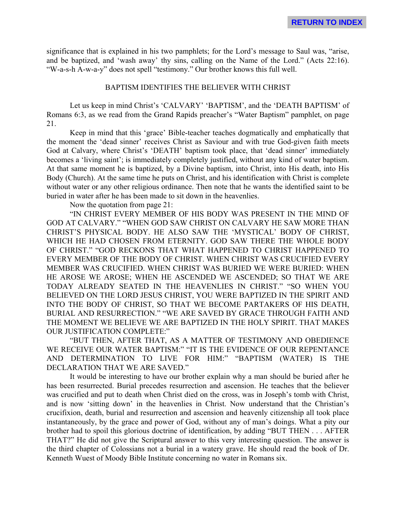significance that is explained in his two pamphlets; for the Lord's message to Saul was, "arise, and be baptized, and 'wash away' thy sins, calling on the Name of the Lord." (Acts 22:16). "W-a-s-h A-w-a-y" does not spell "testimony." Our brother knows this full well.

# BAPTISM IDENTIFIES THE BELIEVER WITH CHRIST

Let us keep in mind Christ's 'CALVARY' 'BAPTISM', and the 'DEATH BAPTISM' of Romans 6:3, as we read from the Grand Rapids preacher's "Water Baptism" pamphlet, on page 21.

Keep in mind that this 'grace' Bible-teacher teaches dogmatically and emphatically that the moment the 'dead sinner' receives Christ as Saviour and with true God-given faith meets God at Calvary, where Christ's 'DEATH' baptism took place, that 'dead sinner' immediately becomes a 'living saint'; is immediately completely justified, without any kind of water baptism. At that same moment he is baptized, by a Divine baptism, into Christ, into His death, into His Body (Church). At the same time he puts on Christ, and his identification with Christ is complete without water or any other religious ordinance. Then note that he wants the identified saint to be buried in water after he has been made to sit down in the heavenlies.

Now the quotation from page 21:

"IN CHRIST EVERY MEMBER OF HIS BODY WAS PRESENT IN THE MIND OF GOD AT CALVARY." "WHEN GOD SAW CHRIST ON CALVARY HE SAW MORE THAN CHRIST'S PHYSICAL BODY. HE ALSO SAW THE 'MYSTICAL' BODY OF CHRIST, WHICH HE HAD CHOSEN FROM ETERNITY. GOD SAW THERE THE WHOLE BODY OF CHRIST." "GOD RECKONS THAT WHAT HAPPENED TO CHRIST HAPPENED TO EVERY MEMBER OF THE BODY OF CHRIST. WHEN CHRIST WAS CRUCIFIED EVERY MEMBER WAS CRUCIFIED. WHEN CHRIST WAS BURIED WE WERE BURIED: WHEN HE AROSE WE AROSE; WHEN HE ASCENDED WE ASCENDED; SO THAT WE ARE TODAY ALREADY SEATED IN THE HEAVENLIES IN CHRIST." "SO WHEN YOU BELIEVED ON THE LORD JESUS CHRIST, YOU WERE BAPTIZED IN THE SPIRIT AND INTO THE BODY OF CHRIST, SO THAT WE BECOME PARTAKERS OF HIS DEATH, BURIAL AND RESURRECTION." "WE ARE SAVED BY GRACE THROUGH FAITH AND THE MOMENT WE BELIEVE WE ARE BAPTIZED IN THE HOLY SPIRIT. THAT MAKES OUR JUSTIFICATION COMPLETE:"

"BUT THEN, AFTER THAT, AS A MATTER OF TESTIMONY AND OBEDIENCE WE RECEIVE OUR WATER BAPTISM:" "IT IS THE EVIDENCE OF OUR REPENTANCE AND DETERMINATION TO LIVE FOR HIM:" "BAPTISM (WATER) IS THE DECLARATION THAT WE ARE SAVED."

It would be interesting to have our brother explain why a man should be buried after he has been resurrected. Burial precedes resurrection and ascension. He teaches that the believer was crucified and put to death when Christ died on the cross, was in Joseph's tomb with Christ, and is now 'sitting down' in the heavenlies in Christ. Now understand that the Christian's crucifixion, death, burial and resurrection and ascension and heavenly citizenship all took place instantaneously, by the grace and power of God, without any of man's doings. What a pity our brother had to spoil this glorious doctrine of identification, by adding "BUT THEN . . . AFTER THAT?" He did not give the Scriptural answer to this very interesting question. The answer is the third chapter of Colossians not a burial in a watery grave. He should read the book of Dr. Kenneth Wuest of Moody Bible Institute concerning no water in Romans six.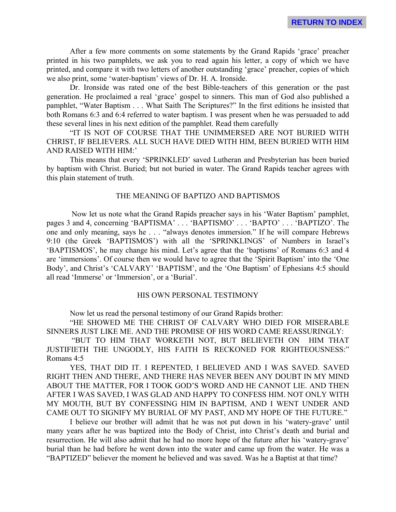After a few more comments on some statements by the Grand Rapids 'grace' preacher printed in his two pamphlets, we ask you to read again his letter, a copy of which we have printed, and compare it with two letters of another outstanding 'grace' preacher, copies of which we also print, some 'water-baptism' views of Dr. H. A. Ironside.

Dr. Ironside was rated one of the best Bible-teachers of this generation or the past generation. He proclaimed a real 'grace' gospel to sinners. This man of God also published a pamphlet, "Water Baptism . . . What Saith The Scriptures?" In the first editions he insisted that both Romans 6:3 and 6:4 referred to water baptism. I was present when he was persuaded to add these several lines in his next edition of the pamphlet. Read them carefully

"IT IS NOT OF COURSE THAT THE UNIMMERSED ARE NOT BURIED WITH CHRIST, IF BELIEVERS. ALL SUCH HAVE DIED WITH HIM, BEEN BURIED WITH HIM AND RAISED WITH HIM:'

This means that every 'SPRINKLED' saved Lutheran and Presbyterian has been buried by baptism with Christ. Buried; but not buried in water. The Grand Rapids teacher agrees with this plain statement of truth.

# THE MEANING OF BAPTIZO AND BAPTISMOS

 Now let us note what the Grand Rapids preacher says in his 'Water Baptism' pamphlet, pages 3 and 4, concerning 'BAPTISMA' . . . 'BAPTISMO' . . . 'BAPTO' . . . 'BAPTIZO'. The one and only meaning, says he . . . "always denotes immersion." If he will compare Hebrews 9:10 (the Greek 'BAPTISMOS') with all the 'SPRINKLINGS' of Numbers in Israel's 'BAPTISMOS', he may change his mind. Let's agree that the 'baptisms' of Romans 6:3 and 4 are 'immersions'. Of course then we would have to agree that the 'Spirit Baptism' into the 'One Body', and Christ's 'CALVARY' 'BAPTISM', and the 'One Baptism' of Ephesians 4:5 should all read 'Immerse' or 'Immersion', or a 'Burial'.

#### HIS OWN PERSONAL TESTIMONY

Now let us read the personal testimony of our Grand Rapids brother:

"HE SHOWED ME THE CHRIST OF CALVARY WHO DIED FOR MISERABLE SINNERS JUST LIKE ME. AND THE PROMISE OF HIS WORD CAME REASSURINGLY:

 "BUT TO HIM THAT WORKETH NOT, BUT BELIEVETH ON HIM THAT JUSTIFIETH THE UNGODLY, HIS FAITH IS RECKONED FOR RIGHTEOUSNESS:" Romans 4:5

YES, THAT DID IT. I REPENTED, I BELIEVED AND I WAS SAVED. SAVED RIGHT THEN AND THERE, AND THERE HAS NEVER BEEN ANY DOUBT IN MY MIND ABOUT THE MATTER, FOR I TOOK GOD'S WORD AND HE CANNOT LIE. AND THEN AFTER I WAS SAVED, I WAS GLAD AND HAPPY TO CONFESS HIM. NOT ONLY WITH MY MOUTH, BUT BY CONFESSING HIM IN BAPTISM, AND I WENT UNDER AND CAME OUT TO SIGNIFY MY BURIAL OF MY PAST, AND MY HOPE OF THE FUTURE."

I believe our brother will admit that he was not put down in his 'watery-grave' until many years after he was baptized into the Body of Christ, into Christ's death and burial and resurrection. He will also admit that he had no more hope of the future after his 'watery-grave' burial than he had before he went down into the water and came up from the water. He was a "BAPTIZED" believer the moment he believed and was saved. Was he a Baptist at that time?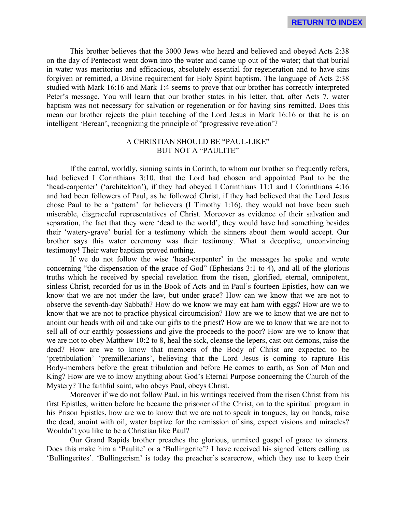This brother believes that the 3000 Jews who heard and believed and obeyed Acts 2:38 on the day of Pentecost went down into the water and came up out of the water; that that burial in water was meritorius and efficacious, absolutely essential for regeneration and to have sins forgiven or remitted, a Divine requirement for Holy Spirit baptism. The language of Acts 2:38 studied with Mark 16:16 and Mark 1:4 seems to prove that our brother has correctly interpreted Peter's message. You will learn that our brother states in his letter, that, after Acts 7, water baptism was not necessary for salvation or regeneration or for having sins remitted. Does this mean our brother rejects the plain teaching of the Lord Jesus in Mark 16:16 or that he is an intelligent 'Berean', recognizing the principle of "progressive revelation'?

# A CHRISTIAN SHOULD BE "PAUL-LIKE" BUT NOT A "PAULITE"

If the carnal, worldly, sinning saints in Corinth, to whom our brother so frequently refers, had believed I Corinthians 3:10, that the Lord had chosen and appointed Paul to be the 'head-carpenter' ('architekton'), if they had obeyed I Corinthians 11:1 and I Corinthians 4:16 and had been followers of Paul, as he followed Christ, if they had believed that the Lord Jesus chose Paul to be a 'pattern' for believers (I Timothy 1:16), they would not have been such miserable, disgraceful representatives of Christ. Moreover as evidence of their salvation and separation, the fact that they were 'dead to the world', they would have had something besides their 'watery-grave' burial for a testimony which the sinners about them would accept. Our brother says this water ceremony was their testimony. What a deceptive, unconvincing testimony! Their water baptism proved nothing.

If we do not follow the wise 'head-carpenter' in the messages he spoke and wrote concerning "the dispensation of the grace of God" (Ephesians 3:1 to 4), and all of the glorious truths which he received by special revelation from the risen, glorified, eternal, omnipotent, sinless Christ, recorded for us in the Book of Acts and in Paul's fourteen Epistles, how can we know that we are not under the law, but under grace? How can we know that we are not to observe the seventh-day Sabbath? How do we know we may eat ham with eggs? How are we to know that we are not to practice physical circumcision? How are we to know that we are not to anoint our heads with oil and take our gifts to the priest? How are we to know that we are not to sell all of our earthly possessions and give the proceeds to the poor? How are we to know that we are not to obey Matthew 10:2 to 8, heal the sick, cleanse the lepers, cast out demons, raise the dead? How are we to know that members of the Body of Christ are expected to be 'pretribulation' 'premillenarians', believing that the Lord Jesus is coming to rapture His Body-members before the great tribulation and before He comes to earth, as Son of Man and King? How are we to know anything about God's Eternal Purpose concerning the Church of the Mystery? The faithful saint, who obeys Paul, obeys Christ.

Moreover if we do not follow Paul, in his writings received from the risen Christ from his first Epistles, written before he became the prisoner of the Christ, on to the spiritual program in his Prison Epistles, how are we to know that we are not to speak in tongues, lay on hands, raise the dead, anoint with oil, water baptize for the remission of sins, expect visions and miracles? Wouldn't you like to be a Christian like Paul?

Our Grand Rapids brother preaches the glorious, unmixed gospel of grace to sinners. Does this make him a 'Paulite' or a 'Bullingerite'? I have received his signed letters calling us 'Bullingerites'. 'Bullingerism' is today the preacher's scarecrow, which they use to keep their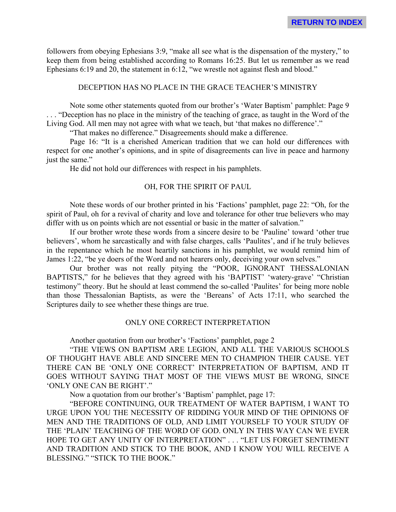followers from obeying Ephesians 3:9, "make all see what is the dispensation of the mystery," to keep them from being established according to Romans 16:25. But let us remember as we read Ephesians 6:19 and 20, the statement in 6:12, "we wrestle not against flesh and blood."

# DECEPTION HAS NO PLACE IN THE GRACE TEACHER'S MINISTRY

Note some other statements quoted from our brother's 'Water Baptism' pamphlet: Page 9 . . . "Deception has no place in the ministry of the teaching of grace, as taught in the Word of the Living God. All men may not agree with what we teach, but 'that makes no difference'."

"That makes no difference." Disagreements should make a difference.

Page 16: "It is a cherished American tradition that we can hold our differences with respect for one another's opinions, and in spite of disagreements can live in peace and harmony just the same."

He did not hold our differences with respect in his pamphlets.

# OH, FOR THE SPIRIT OF PAUL

Note these words of our brother printed in his 'Factions' pamphlet, page 22: "Oh, for the spirit of Paul, oh for a revival of charity and love and tolerance for other true believers who may differ with us on points which are not essential or basic in the matter of salvation."

If our brother wrote these words from a sincere desire to be 'Pauline' toward 'other true believers', whom he sarcastically and with false charges, calls 'Paulites', and if he truly believes in the repentance which he most heartily sanctions in his pamphlet, we would remind him of James 1:22, "be ye doers of the Word and not hearers only, deceiving your own selves."

Our brother was not really pitying the "POOR, IGNORANT THESSALONIAN BAPTISTS," for he believes that they agreed with his 'BAPTIST' 'watery-grave' "Christian testimony" theory. But he should at least commend the so-called 'Paulites' for being more noble than those Thessalonian Baptists, as were the 'Bereans' of Acts 17:11, who searched the Scriptures daily to see whether these things are true.

# ONLY ONE CORRECT INTERPRETATION

Another quotation from our brother's 'Factions' pamphlet, page 2

"THE VIEWS ON BAPTISM ARE LEGION, AND ALL THE VARIOUS SCHOOLS OF THOUGHT HAVE ABLE AND SINCERE MEN TO CHAMPION THEIR CAUSE. YET THERE CAN BE 'ONLY ONE CORRECT' INTERPRETATION OF BAPTISM, AND IT GOES WITHOUT SAYING THAT MOST OF THE VIEWS MUST BE WRONG, SINCE 'ONLY ONE CAN BE RIGHT'."

Now a quotation from our brother's 'Baptism' pamphlet, page 17:

"BEFORE CONTINUING, OUR TREATMENT OF WATER BAPTISM, I WANT TO URGE UPON YOU THE NECESSITY OF RIDDING YOUR MIND OF THE OPINIONS OF MEN AND THE TRADITIONS OF OLD, AND LIMIT YOURSELF TO YOUR STUDY OF THE 'PLAIN' TEACHING OF THE WORD OF GOD. ONLY IN THIS WAY CAN WE EVER HOPE TO GET ANY UNITY OF INTERPRETATION" . . . "LET US FORGET SENTIMENT AND TRADITION AND STICK TO THE BOOK, AND I KNOW YOU WILL RECEIVE A BLESSING." "STICK TO THE BOOK."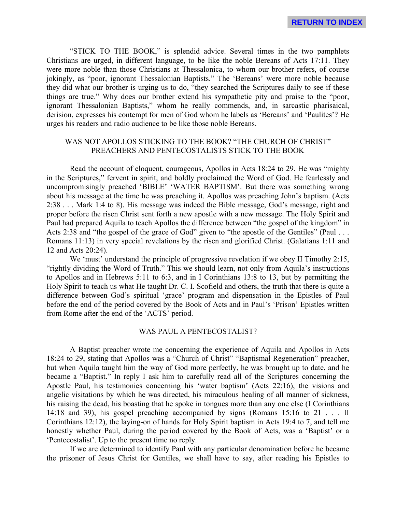"STICK TO THE BOOK," is splendid advice. Several times in the two pamphlets Christians are urged, in different language, to be like the noble Bereans of Acts 17:11. They were more noble than those Christians at Thessalonica, to whom our brother refers, of course jokingly, as "poor, ignorant Thessalonian Baptists." The 'Bereans' were more noble because they did what our brother is urging us to do, "they searched the Scriptures daily to see if these things are true." Why does our brother extend his sympathetic pity and praise to the "poor, ignorant Thessalonian Baptists," whom he really commends, and, in sarcastic pharisaical, derision, expresses his contempt for men of God whom he labels as 'Bereans' and 'Paulites'? He urges his readers and radio audience to be like those noble Bereans.

# WAS NOT APOLLOS STICKING TO THE BOOK? "THE CHURCH OF CHRIST" PREACHERS AND PENTECOSTALISTS STICK TO THE BOOK

Read the account of eloquent, courageous, Apollos in Acts 18:24 to 29. He was "mighty in the Scriptures," fervent in spirit, and boldly proclaimed the Word of God. He fearlessly and uncompromisingly preached 'BIBLE' 'WATER BAPTISM'. But there was something wrong about his message at the time he was preaching it. Apollos was preaching John's baptism. (Acts 2:38 . . . Mark 1:4 to 8). His message was indeed the Bible message, God's message, right and proper before the risen Christ sent forth a new apostle with a new message. The Holy Spirit and Paul had prepared Aquila to teach Apollos the difference between "the gospel of the kingdom" in Acts 2:38 and "the gospel of the grace of God" given to "the apostle of the Gentiles" (Paul . . . Romans 11:13) in very special revelations by the risen and glorified Christ. (Galatians 1:11 and 12 and Acts 20:24).

We 'must' understand the principle of progressive revelation if we obey II Timothy 2:15, "rightly dividing the Word of Truth." This we should learn, not only from Aquila's instructions to Apollos and in Hebrews 5:11 to 6:3, and in I Corinthians 13:8 to 13, but by permitting the Holy Spirit to teach us what He taught Dr. C. I. Scofield and others, the truth that there is quite a difference between God's spiritual 'grace' program and dispensation in the Epistles of Paul before the end of the period covered by the Book of Acts and in Paul's 'Prison' Epistles written from Rome after the end of the 'ACTS' period.

#### WAS PAUL A PENTECOSTALIST?

A Baptist preacher wrote me concerning the experience of Aquila and Apollos in Acts 18:24 to 29, stating that Apollos was a "Church of Christ" "Baptismal Regeneration" preacher, but when Aquila taught him the way of God more perfectly, he was brought up to date, and he became a "Baptist." In reply I ask him to carefully read all of the Scriptures concerning the Apostle Paul, his testimonies concerning his 'water baptism' (Acts 22:16), the visions and angelic visitations by which he was directed, his miraculous healing of all manner of sickness, his raising the dead, his boasting that he spoke in tongues more than any one else (I Corinthians 14:18 and 39), his gospel preaching accompanied by signs (Romans 15:16 to 21 . . . II Corinthians 12:12), the laying-on of hands for Holy Spirit baptism in Acts 19:4 to 7, and tell me honestly whether Paul, during the period covered by the Book of Acts, was a 'Baptist' or a 'Pentecostalist'. Up to the present time no reply.

If we are determined to identify Paul with any particular denomination before he became the prisoner of Jesus Christ for Gentiles, we shall have to say, after reading his Epistles to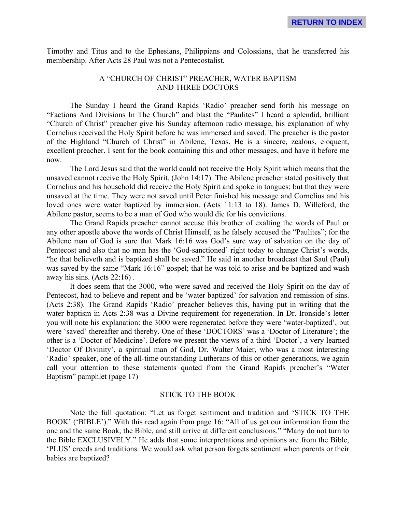Timothy and Titus and to the Ephesians, Philippians and Colossians, that he transferred his membership. After Acts 28 Paul was not a Pentecostalist.

# A "CHURCH OF CHRIST" PREACHER, WATER BAPTISM AND THREE DOCTORS

The Sunday I heard the Grand Rapids 'Radio' preacher send forth his message on "Factions And Divisions In The Church" and blast the "Paulites" I heard a splendid, brilliant "Church of Christ" preacher give his Sunday afternoon radio message, his explanation of why Cornelius received the Holy Spirit before he was immersed and saved. The preacher is the pastor of the Highland "Church of Christ" in Abilene, Texas. He is a sincere, zealous, eloquent, excellent preacher. I sent for the book containing this and other messages, and have it before me now.

The Lord Jesus said that the world could not receive the Holy Spirit which means that the unsaved cannot receive the Holy Spirit. (John 14:17). The Abilene preacher stated positively that Cornelius and his household did receive the Holy Spirit and spoke in tongues; but that they were unsaved at the time. They were not saved until Peter finished his message and Cornelius and his loved ones were water baptized by immersion. (Acts 11:13 to 18). James D. Willeford, the Abilene pastor, seems to be a man of God who would die for his convictions.

The Grand Rapids preacher cannot accuse this brother of exalting the words of Paul or any other apostle above the words of Christ Himself, as he falsely accused the "Paulites"; for the Abilene man of God is sure that Mark 16:16 was God's sure way of salvation on the day of Pentecost and also that no man has the 'God-sanctioned' right today to change Christ's words, "he that believeth and is baptized shall be saved." He said in another broadcast that Saul (Paul) was saved by the same "Mark 16:16" gospel; that he was told to arise and be baptized and wash away his sins. (Acts 22:16) .

It does seem that the 3000, who were saved and received the Holy Spirit on the day of Pentecost, had to believe and repent and be 'water baptized' for salvation and remission of sins. (Acts 2:38). The Grand Rapids 'Radio' preacher believes this, having put in writing that the water baptism in Acts 2:38 was a Divine requirement for regeneration. In Dr. Ironside's letter you will note his explanation: the 3000 were regenerated before they were 'water-baptized', but were 'saved' thereafter and thereby. One of these 'DOCTORS' was a 'Doctor of Literature'; the other is a 'Doctor of Medicine'. Before we present the views of a third 'Doctor', a very learned 'Doctor Of Divinity', a spiritual man of God, Dr. Walter Maier, who was a most interesting 'Radio' speaker, one of the all-time outstanding Lutherans of this or other generations, we again call your attention to these statements quoted from the Grand Rapids preacher's "Water Baptism" pamphlet (page 17)

# STICK TO THE BOOK

Note the full quotation: "Let us forget sentiment and tradition and 'STICK TO THE BOOK' ('BIBLE')." With this read again from page 16: "All of us get our information from the one and the same Book, the Bible, and still arrive at different conclusions." "Many do not turn to the Bible EXCLUSIVELY." He adds that some interpretations and opinions are from the Bible, 'PLUS' creeds and traditions. We would ask what person forgets sentiment when parents or their babies are baptized?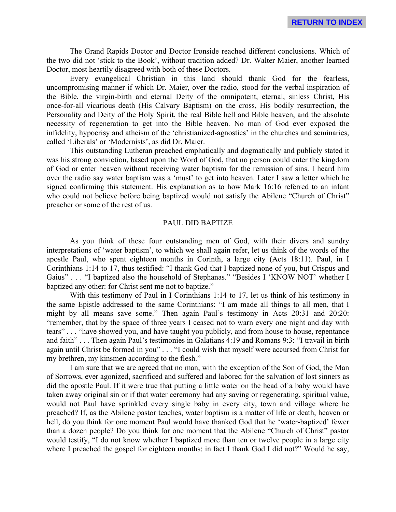The Grand Rapids Doctor and Doctor Ironside reached different conclusions. Which of the two did not 'stick to the Book', without tradition added? Dr. Walter Maier, another learned Doctor, most heartily disagreed with both of these Doctors.

Every evangelical Christian in this land should thank God for the fearless, uncompromising manner if which Dr. Maier, over the radio, stood for the verbal inspiration of the Bible, the virgin-birth and eternal Deity of the omnipotent, eternal, sinless Christ, His once-for-all vicarious death (His Calvary Baptism) on the cross, His bodily resurrection, the Personality and Deity of the Holy Spirit, the real Bible hell and Bible heaven, and the absolute necessity of regeneration to get into the Bible heaven. No man of God ever exposed the infidelity, hypocrisy and atheism of the 'christianized-agnostics' in the churches and seminaries, called 'Liberals' or 'Modernists', as did Dr. Maier.

This outstanding Lutheran preached emphatically and dogmatically and publicly stated it was his strong conviction, based upon the Word of God, that no person could enter the kingdom of God or enter heaven without receiving water baptism for the remission of sins. I heard him over the radio say water baptism was a 'must' to get into heaven. Later I saw a letter which he signed confirming this statement. His explanation as to how Mark 16:16 referred to an infant who could not believe before being baptized would not satisfy the Abilene "Church of Christ" preacher or some of the rest of us.

#### PAUL DID BAPTIZE

As you think of these four outstanding men of God, with their divers and sundry interpretations of 'water baptism', to which we shall again refer, let us think of the words of the apostle Paul, who spent eighteen months in Corinth, a large city (Acts 18:11). Paul, in I Corinthians 1:14 to 17, thus testified: "I thank God that I baptized none of you, but Crispus and Gaius" . . . "I baptized also the household of Stephanas." "Besides I 'KNOW NOT' whether I baptized any other: for Christ sent me not to baptize."

With this testimony of Paul in I Corinthians 1:14 to 17, let us think of his testimony in the same Epistle addressed to the same Corinthians: "I am made all things to all men, that I might by all means save some." Then again Paul's testimony in Acts 20:31 and 20:20: "remember, that by the space of three years I ceased not to warn every one night and day with tears" . . . "have showed you, and have taught you publicly, and from house to house, repentance and faith" . . . Then again Paul's testimonies in Galatians 4:19 and Romans 9:3: "I travail in birth again until Christ be formed in you" . . . "I could wish that myself were accursed from Christ for my brethren, my kinsmen according to the flesh."

I am sure that we are agreed that no man, with the exception of the Son of God, the Man of Sorrows, ever agonized, sacrificed and suffered and labored for the salvation of lost sinners as did the apostle Paul. If it were true that putting a little water on the head of a baby would have taken away original sin or if that water ceremony had any saving or regenerating, spiritual value, would not Paul have sprinkled every single baby in every city, town and village where he preached? If, as the Abilene pastor teaches, water baptism is a matter of life or death, heaven or hell, do you think for one moment Paul would have thanked God that he 'water-baptized' fewer than a dozen people? Do you think for one moment that the Abilene "Church of Christ" pastor would testify, "I do not know whether I baptized more than ten or twelve people in a large city where I preached the gospel for eighteen months: in fact I thank God I did not?" Would he say,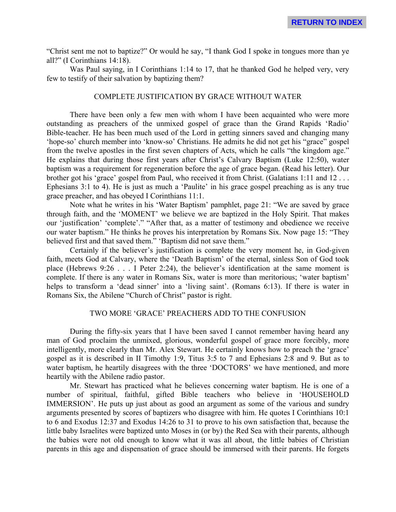"Christ sent me not to baptize?" Or would he say, "I thank God I spoke in tongues more than ye all?" (I Corinthians 14:18).

Was Paul saying, in I Corinthians 1:14 to 17, that he thanked God he helped very, very few to testify of their salvation by baptizing them?

#### COMPLETE JUSTIFICATION BY GRACE WITHOUT WATER

There have been only a few men with whom I have been acquainted who were more outstanding as preachers of the unmixed gospel of grace than the Grand Rapids 'Radio' Bible-teacher. He has been much used of the Lord in getting sinners saved and changing many 'hope-so' church member into 'know-so' Christians. He admits he did not get his "grace" gospel from the twelve apostles in the first seven chapters of Acts, which he calls "the kingdom age." He explains that during those first years after Christ's Calvary Baptism (Luke 12:50), water baptism was a requirement for regeneration before the age of grace began. (Read his letter). Our brother got his 'grace' gospel from Paul, who received it from Christ. (Galatians 1:11 and 12... Ephesians 3:1 to 4). He is just as much a 'Paulite' in his grace gospel preaching as is any true grace preacher, and has obeyed I Corinthians 11:1.

Note what he writes in his 'Water Baptism' pamphlet, page 21: "We are saved by grace through faith, and the 'MOMENT' we believe we are baptized in the Holy Spirit. That makes our 'justification' 'complete'." "After that, as a matter of testimony and obedience we receive our water baptism." He thinks he proves his interpretation by Romans Six. Now page 15: "They believed first and that saved them." 'Baptism did not save them."

Certainly if the believer's justification is complete the very moment he, in God-given faith, meets God at Calvary, where the 'Death Baptism' of the eternal, sinless Son of God took place (Hebrews 9:26 . . . I Peter 2:24), the believer's identification at the same moment is complete. If there is any water in Romans Six, water is more than meritorious; 'water baptism' helps to transform a 'dead sinner' into a 'living saint'. (Romans 6:13). If there is water in Romans Six, the Abilene "Church of Christ" pastor is right.

# TWO MORE 'GRACE' PREACHERS ADD TO THE CONFUSION

During the fifty-six years that I have been saved I cannot remember having heard any man of God proclaim the unmixed, glorious, wonderful gospel of grace more forcibly, more intelligently, more clearly than Mr. Alex Stewart. He certainly knows how to preach the 'grace' gospel as it is described in II Timothy 1:9, Titus 3:5 to 7 and Ephesians 2:8 and 9. But as to water baptism, he heartily disagrees with the three 'DOCTORS' we have mentioned, and more heartily with the Abilene radio pastor.

Mr. Stewart has practiced what he believes concerning water baptism. He is one of a number of spiritual, faithful, gifted Bible teachers who believe in 'HOUSEHOLD IMMERSION'. He puts up just about as good an argument as some of the various and sundry arguments presented by scores of baptizers who disagree with him. He quotes I Corinthians 10:1 to 6 and Exodus 12:37 and Exodus 14:26 to 31 to prove to his own satisfaction that, because the little baby Israelites were baptized unto Moses in (or by) the Red Sea with their parents, although the babies were not old enough to know what it was all about, the little babies of Christian parents in this age and dispensation of grace should be immersed with their parents. He forgets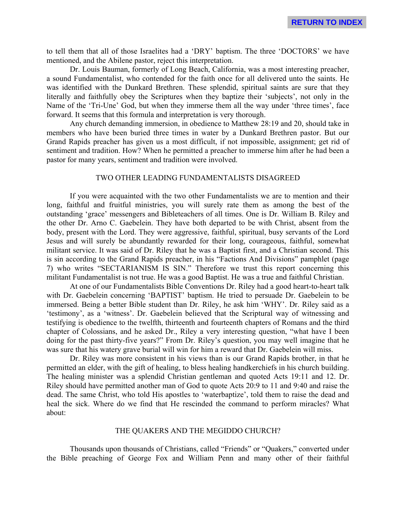to tell them that all of those Israelites had a 'DRY' baptism. The three 'DOCTORS' we have mentioned, and the Abilene pastor, reject this interpretation.

Dr. Louis Bauman, formerly of Long Beach, California, was a most interesting preacher, a sound Fundamentalist, who contended for the faith once for all delivered unto the saints. He was identified with the Dunkard Brethren. These splendid, spiritual saints are sure that they literally and faithfully obey the Scriptures when they baptize their 'subjects', not only in the Name of the 'Tri-Une' God, but when they immerse them all the way under 'three times', face forward. It seems that this formula and interpretation is very thorough.

Any church demanding immersion, in obedience to Matthew 28:19 and 20, should take in members who have been buried three times in water by a Dunkard Brethren pastor. But our Grand Rapids preacher has given us a most difficult, if not impossible, assignment; get rid of sentiment and tradition. How? When he permitted a preacher to immerse him after he had been a pastor for many years, sentiment and tradition were involved.

# TWO OTHER LEADING FUNDAMENTALISTS DISAGREED

If you were acquainted with the two other Fundamentalists we are to mention and their long, faithful and fruitful ministries, you will surely rate them as among the best of the outstanding 'grace' messengers and Bibleteachers of all times. One is Dr. William B. Riley and the other Dr. Arno C. Gaebelein. They have both departed to be with Christ, absent from the body, present with the Lord. They were aggressive, faithful, spiritual, busy servants of the Lord Jesus and will surely be abundantly rewarded for their long, courageous, faithful, somewhat militant service. It was said of Dr. Riley that he was a Baptist first, and a Christian second. This is sin according to the Grand Rapids preacher, in his "Factions And Divisions" pamphlet (page 7) who writes "SECTARIANISM IS SIN." Therefore we trust this report concerning this militant Fundamentalist is not true. He was a good Baptist. He was a true and faithful Christian.

At one of our Fundamentalists Bible Conventions Dr. Riley had a good heart-to-heart talk with Dr. Gaebelein concerning 'BAPTIST' baptism. He tried to persuade Dr. Gaebelein to be immersed. Being a better Bible student than Dr. Riley, he ask him 'WHY'. Dr. Riley said as a 'testimony', as a 'witness'. Dr. Gaebelein believed that the Scriptural way of witnessing and testifying is obedience to the twelfth, thirteenth and fourteenth chapters of Romans and the third chapter of Colossians, and he asked Dr., Riley a very interesting question, "what have I been doing for the past thirty-five years?" From Dr. Riley's question, you may well imagine that he was sure that his watery grave burial will win for him a reward that Dr. Gaebelein will miss.

Dr. Riley was more consistent in his views than is our Grand Rapids brother, in that he permitted an elder, with the gift of healing, to bless healing handkerchiefs in his church building. The healing minister was a splendid Christian gentleman and quoted Acts 19:11 and 12. Dr. Riley should have permitted another man of God to quote Acts 20:9 to 11 and 9:40 and raise the dead. The same Christ, who told His apostles to 'waterbaptize', told them to raise the dead and heal the sick. Where do we find that He rescinded the command to perform miracles? What about:

# THE QUAKERS AND THE MEGIDDO CHURCH?

Thousands upon thousands of Christians, called "Friends" or "Quakers," converted under the Bible preaching of George Fox and William Penn and many other of their faithful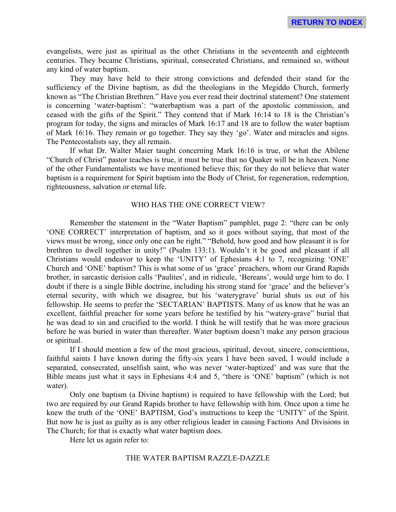evangelists, were just as spiritual as the other Christians in the seventeenth and eighteenth centuries. They became Christians, spiritual, consecrated Christians, and remained so, without any kind of water baptism.

They may have held to their strong convictions and defended their stand for the sufficiency of the Divine baptism, as did the theologians in the Megiddo Church, formerly known as "The Christian Brethren." Have you ever read their doctrinal statement? One statement is concerning 'water-baptism': "waterbaptism was a part of the apostolic commission, and ceased with the gifts of the Spirit." They contend that if Mark 16:14 to 18 is the Christian's program for today, the signs and miracles of Mark 16:17 and 18 are to follow the water baptism of Mark 16:16. They remain or go together. They say they 'go'. Water and miracles and signs. The Pentecostalists say, they all remain.

If what Dr. Walter Maier taught concerning Mark 16:16 is true, or what the Abilene "Church of Christ" pastor teaches is true, it must be true that no Quaker will be in heaven. None of the other Fundamentalists we have mentioned believe this; for they do not believe that water baptism is a requirement for Spirit baptism into the Body of Christ, for regeneration, redemption, righteousness, salvation or eternal life.

#### WHO HAS THE ONE CORRECT VIEW?

Remember the statement in the "Water Baptism" pamphlet, page 2: "there can be only 'ONE CORRECT' interpretation of baptism, and so it goes without saying, that most of the views must be wrong, since only one can be right." "Behold, how good and how pleasant it is for brethren to dwell together in unity!" (Psalm 133:1). Wouldn't it be good and pleasant if all Christians would endeavor to keep the 'UNITY' of Ephesians 4:1 to 7, recognizing 'ONE' Church and 'ONE' baptism? This is what some of us 'grace' preachers, whom our Grand Rapids brother, in sarcastic derision calls 'Paulites', and in ridicule, 'Bereans', would urge him to do. I doubt if there is a single Bible doctrine, including his strong stand for 'grace' and the believer's eternal security, with which we disagree, but his 'waterygrave' burial shuts us out of his fellowship. He seems to prefer the 'SECTARIAN' BAPTISTS. Many of us know that he was an excellent, faithful preacher for some years before he testified by his "watery-grave" burial that he was dead to sin and crucified to the world. I think he will testify that he was more gracious before he was buried in water than thereafter. Water baptism doesn't make any person gracious or spiritual.

If I should mention a few of the most gracious, spiritual, devout, sincere, conscientious, faithful saints I have known during the fifty-six years I have been saved, I would include a separated, consecrated, unselfish saint, who was never 'water-baptized' and was sure that the Bible means just what it says in Ephesians 4:4 and 5, "there is 'ONE' baptism" (which is not water).

Only one baptism (a Divine baptism) is required to have fellowship with the Lord; but two are required by our Grand Rapids brother to have fellowship with him. Once upon a time he knew the truth of the 'ONE' BAPTISM, God's instructions to keep the 'UNITY' of the Spirit. But now he is just as guilty as is any other religious leader in causing Factions And Divisions in The Church; for that is exactly what water baptism does.

Here let us again refer to:

#### THE WATER BAPTISM RAZZLE-DAZZLE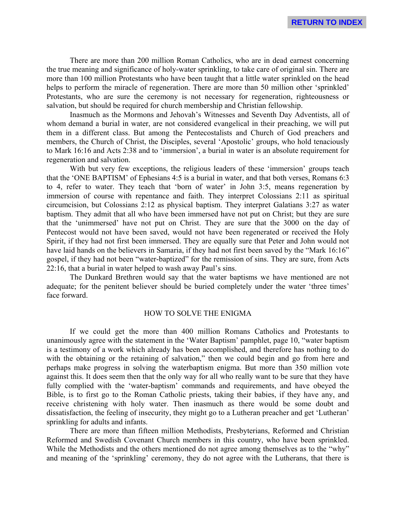There are more than 200 million Roman Catholics, who are in dead earnest concerning the true meaning and significance of holy-water sprinkling, to take care of original sin. There are more than 100 million Protestants who have been taught that a little water sprinkled on the head helps to perform the miracle of regeneration. There are more than 50 million other 'sprinkled' Protestants, who are sure the ceremony is not necessary for regeneration, righteousness or salvation, but should be required for church membership and Christian fellowship.

Inasmuch as the Mormons and Jehovah's Witnesses and Seventh Day Adventists, all of whom demand a burial in water, are not considered evangelical in their preaching, we will put them in a different class. But among the Pentecostalists and Church of God preachers and members, the Church of Christ, the Disciples, several 'Apostolic' groups, who hold tenaciously to Mark 16:16 and Acts 2:38 and to 'immersion', a burial in water is an absolute requirement for regeneration and salvation.

With but very few exceptions, the religious leaders of these 'immersion' groups teach that the 'ONE BAPTISM' of Ephesians 4:5 is a burial in water, and that both verses, Romans 6:3 to 4, refer to water. They teach that 'born of water' in John 3:5, means regeneration by immersion of course with repentance and faith. They interpret Colossians 2:11 as spiritual circumcision, but Colossians 2:12 as physical baptism. They interpret Galatians 3:27 as water baptism. They admit that all who have been immersed have not put on Christ; but they are sure that the 'unimmersed' have not put on Christ. They are sure that the 3000 on the day of Pentecost would not have been saved, would not have been regenerated or received the Holy Spirit, if they had not first been immersed. They are equally sure that Peter and John would not have laid hands on the believers in Samaria, if they had not first been saved by the "Mark 16:16" gospel, if they had not been "water-baptized" for the remission of sins. They are sure, from Acts 22:16, that a burial in water helped to wash away Paul's sins.

The Dunkard Brethren would say that the water baptisms we have mentioned are not adequate; for the penitent believer should be buried completely under the water 'three times' face forward.

#### HOW TO SOLVE THE ENIGMA

If we could get the more than 400 million Romans Catholics and Protestants to unanimously agree with the statement in the 'Water Baptism' pamphlet, page 10, "water baptism is a testimony of a work which already has been accomplished, and therefore has nothing to do with the obtaining or the retaining of salvation," then we could begin and go from here and perhaps make progress in solving the waterbaptism enigma. But more than 350 million vote against this. It does seem then that the only way for all who really want to be sure that they have fully complied with the 'water-baptism' commands and requirements, and have obeyed the Bible, is to first go to the Roman Catholic priests, taking their babies, if they have any, and receive christening with holy water. Then inasmuch as there would be some doubt and dissatisfaction, the feeling of insecurity, they might go to a Lutheran preacher and get 'Lutheran' sprinkling for adults and infants.

There are more than fifteen million Methodists, Presbyterians, Reformed and Christian Reformed and Swedish Covenant Church members in this country, who have been sprinkled. While the Methodists and the others mentioned do not agree among themselves as to the "why" and meaning of the 'sprinkling' ceremony, they do not agree with the Lutherans, that there is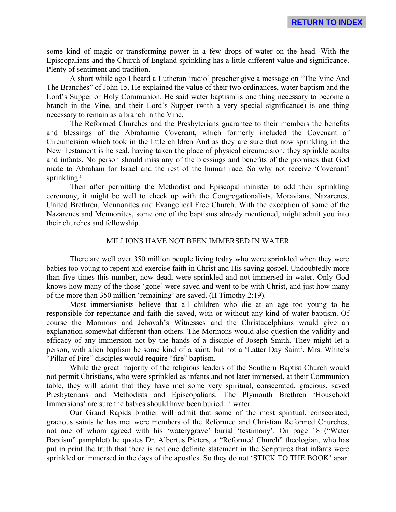some kind of magic or transforming power in a few drops of water on the head. With the Episcopalians and the Church of England sprinkling has a little different value and significance. Plenty of sentiment and tradition.

A short while ago I heard a Lutheran 'radio' preacher give a message on "The Vine And The Branches" of John 15. He explained the value of their two ordinances, water baptism and the Lord's Supper or Holy Communion. He said water baptism is one thing necessary to become a branch in the Vine, and their Lord's Supper (with a very special significance) is one thing necessary to remain as a branch in the Vine.

The Reformed Churches and the Presbyterians guarantee to their members the benefits and blessings of the Abrahamic Covenant, which formerly included the Covenant of Circumcision which took in the little children And as they are sure that now sprinkling in the New Testament is he seal, having taken the place of physical circumcision, they sprinkle adults and infants. No person should miss any of the blessings and benefits of the promises that God made to Abraham for Israel and the rest of the human race. So why not receive 'Covenant' sprinkling?

Then after permitting the Methodist and Episcopal minister to add their sprinkling ceremony, it might be well to check up with the Congregationalists, Moravians, Nazarenes, United Brethren, Mennonites and Evangelical Free Church. With the exception of some of the Nazarenes and Mennonites, some one of the baptisms already mentioned, might admit you into their churches and fellowship.

#### MILLIONS HAVE NOT BEEN IMMERSED IN WATER

There are well over 350 million people living today who were sprinkled when they were babies too young to repent and exercise faith in Christ and His saving gospel. Undoubtedly more than five times this number, now dead, were sprinkled and not immersed in water. Only God knows how many of the those 'gone' were saved and went to be with Christ, and just how many of the more than 350 million 'remaining' are saved. (II Timothy 2:19).

Most immersionists believe that all children who die at an age too young to be responsible for repentance and faith die saved, with or without any kind of water baptism. Of course the Mormons and Jehovah's Witnesses and the Christadelphians would give an explanation somewhat different than others. The Mormons would also question the validity and efficacy of any immersion not by the hands of a disciple of Joseph Smith. They might let a person, with alien baptism be some kind of a saint, but not a 'Latter Day Saint'. Mrs. White's "Pillar of Fire" disciples would require "fire" baptism.

While the great majority of the religious leaders of the Southern Baptist Church would not permit Christians, who were sprinkled as infants and not later immersed, at their Communion table, they will admit that they have met some very spiritual, consecrated, gracious, saved Presbyterians and Methodists and Episcopalians. The Plymouth Brethren 'Household Immersions' are sure the babies should have been buried in water.

Our Grand Rapids brother will admit that some of the most spiritual, consecrated, gracious saints he has met were members of the Reformed and Christian Reformed Churches, not one of whom agreed with his 'waterygrave' burial 'testimony'. On page 18 ("Water Baptism" pamphlet) he quotes Dr. Albertus Pieters, a "Reformed Church" theologian, who has put in print the truth that there is not one definite statement in the Scriptures that infants were sprinkled or immersed in the days of the apostles. So they do not 'STICK TO THE BOOK' apart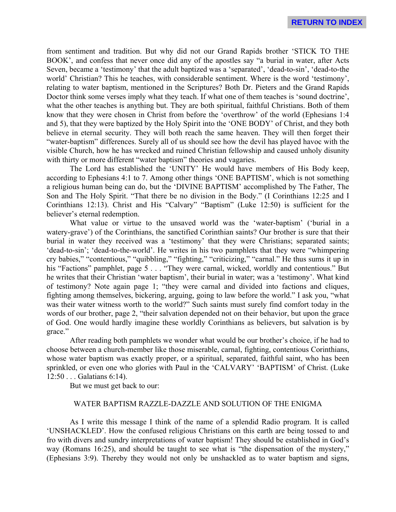from sentiment and tradition. But why did not our Grand Rapids brother 'STICK TO THE BOOK', and confess that never once did any of the apostles say "a burial in water, after Acts Seven, became a 'testimony' that the adult baptized was a 'separated', 'dead-to-sin', 'dead-to-the world' Christian? This he teaches, with considerable sentiment. Where is the word 'testimony', relating to water baptism, mentioned in the Scriptures? Both Dr. Pieters and the Grand Rapids Doctor think some verses imply what they teach. If what one of them teaches is 'sound doctrine', what the other teaches is anything but. They are both spiritual, faithful Christians. Both of them know that they were chosen in Christ from before the 'overthrow' of the world (Ephesians 1:4 and 5), that they were baptized by the Holy Spirit into the 'ONE BODY' of Christ, and they both believe in eternal security. They will both reach the same heaven. They will then forget their "water-baptism" differences. Surely all of us should see how the devil has played havoc with the visible Church, how he has wrecked and ruined Christian fellowship and caused unholy disunity with thirty or more different "water baptism" theories and vagaries.

The Lord has established the 'UNITY' He would have members of His Body keep, according to Ephesians 4:1 to 7. Among other things 'ONE BAPTISM', which is not something a religious human being can do, but the 'DIVINE BAPTISM' accomplished by The Father, The Son and The Holy Spirit. "That there be no division in the Body." (I Corinthians 12:25 and I Corinthians 12:13). Christ and His "Calvary" "Baptism" (Luke 12:50) is sufficient for the believer's eternal redemption.

What value or virtue to the unsaved world was the 'water-baptism' ('burial in a watery-grave') of the Corinthians, the sanctified Corinthian saints? Our brother is sure that their burial in water they received was a 'testimony' that they were Christians; separated saints; 'dead-to-sin'; 'dead-to-the-world'. He writes in his two pamphlets that they were "whimpering cry babies," "contentious," "quibbling," "fighting," "criticizing," "carnal." He thus sums it up in his "Factions" pamphlet, page 5 . . . "They were carnal, wicked, worldly and contentious." But he writes that their Christian 'water baptism', their burial in water; was a 'testimony'. What kind of testimony? Note again page 1; "they were carnal and divided into factions and cliques, fighting among themselves, bickering, arguing, going to law before the world." I ask you, "what was their water witness worth to the world?" Such saints must surely find comfort today in the words of our brother, page 2, "their salvation depended not on their behavior, but upon the grace of God. One would hardly imagine these worldly Corinthians as believers, but salvation is by grace."

After reading both pamphlets we wonder what would be our brother's choice, if he had to choose between a church-member like those miserable, carnal, fighting, contentious Corinthians, whose water baptism was exactly proper, or a spiritual, separated, faithful saint, who has been sprinkled, or even one who glories with Paul in the 'CALVARY' 'BAPTISM' of Christ. (Luke 12:50 . . . Galatians 6:14).

But we must get back to our:

# WATER BAPTISM RAZZLE-DAZZLE AND SOLUTION OF THE ENIGMA

As I write this message I think of the name of a splendid Radio program. It is called 'UNSHACKLED'. How the confused religious Christians on this earth are being tossed to and fro with divers and sundry interpretations of water baptism! They should be established in God's way (Romans 16:25), and should be taught to see what is "the dispensation of the mystery," (Ephesians 3:9). Thereby they would not only be unshackled as to water baptism and signs,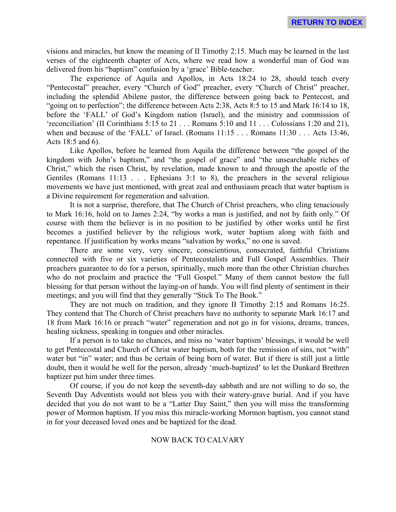visions and miracles, but know the meaning of II Timothy 2:15. Much may be learned in the last verses of the eighteenth chapter of Acts, where we read how a wonderful man of God was delivered from his "baptism" confusion by a 'grace' Bible-teacher.

The experience of Aquila and Apollos, in Acts 18:24 to 28, should teach every "Pentecostal" preacher, every "Church of God" preacher, every "Church of Christ" preacher, including the splendid Abilene pastor, the difference between going back to Pentecost, and "going on to perfection"; the difference between Acts 2:38, Acts 8:5 to 15 and Mark 16:14 to 18, before the 'FALL' of God's Kingdom nation (Israel), and the ministry and commission of 'reconciliation' (II Corinthians 5:15 to 21 . . . Romans 5:10 and 11 . . . Colossians 1:20 and 21), when and because of the 'FALL' of Israel. (Romans 11:15 . . . Romans 11:30 . . . Acts 13:46, Acts 18:5 and 6).

Like Apollos, before he learned from Aquila the difference between "the gospel of the kingdom with John's baptism," and "the gospel of grace" and "the unsearchable riches of Christ," which the risen Christ, by revelation, made known to and through the apostle of the Gentiles (Romans 11:13 . . . Ephesians 3:1 to 8), the preachers in the several religious movements we have just mentioned, with great zeal and enthusiasm preach that water baptism is a Divine requirement for regeneration and salvation.

It is not a surprise, therefore, that The Church of Christ preachers, who cling tenaciously to Mark 16:16, hold on to James 2:24, "by works a man is justified, and not by faith only." Of course with them the believer is in no position to be justified by other works until he first becomes a justified believer by the religious work, water baptism along with faith and repentance. If justification by works means "salvation by works," no one is saved.

There are some very, very sincere, conscientious, consecrated, faithful Christians connected with five or six varieties of Pentecostalists and Full Gospel Assemblies. Their preachers guarantee to do for a person, spiritually, much more than the other Christian churches who do not proclaim and practice the "Full Gospel." Many of them cannot bestow the full blessing for that person without the laying-on of hands. You will find plenty of sentiment in their meetings; and you will find that they generally "Stick To The Book."

They are not much on tradition, and they ignore II Timothy 2:15 and Romans 16:25. They contend that The Church of Christ preachers have no authority to separate Mark 16:17 and 18 from Mark 16:16 or preach "water" regeneration and not go in for visions, dreams, trances, healing sickness, speaking in tongues and other miracles.

If a person is to take no chances, and miss no 'water baptism' blessings, it would be well to get Pentecostal and Church of Christ water baptism, both for the remission of sins, not "with" water but "in" water; and thus be certain of being born of water. But if there is still just a little doubt, then it would be well for the person, already 'much-baptized' to let the Dunkard Brethren baptizer put him under three times.

Of course, if you do not keep the seventh-day sabbath and are not willing to do so, the Seventh Day Adventists would not bless you with their watery-grave burial. And if you have decided that you do not want to be a "Latter Day Saint," then you will miss the transforming power of Mormon baptism. If you miss this miracle-working Mormon baptism, you cannot stand in for your deceased loved ones and be baptized for the dead.

#### NOW BACK TO CALVARY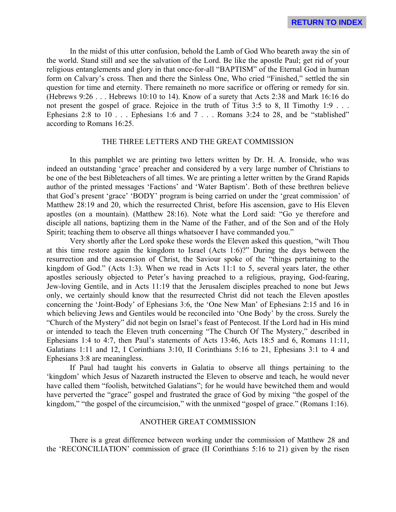In the midst of this utter confusion, behold the Lamb of God Who beareth away the sin of the world. Stand still and see the salvation of the Lord. Be like the apostle Paul; get rid of your religious entanglements and glory in that once-for-all "BAPTISM" of the Eternal God in human form on Calvary's cross. Then and there the Sinless One, Who cried "Finished," settled the sin question for time and eternity. There remaineth no more sacrifice or offering or remedy for sin. (Hebrews 9:26 . . . Hebrews 10:10 to 14). Know of a surety that Acts 2:38 and Mark 16:16 do not present the gospel of grace. Rejoice in the truth of Titus 3:5 to 8, II Timothy 1:9 ... Ephesians 2:8 to 10 . . . Ephesians 1:6 and 7 . . . Romans 3:24 to 28, and be "stablished" according to Romans 16:25.

#### THE THREE LETTERS AND THE GREAT COMMISSION

In this pamphlet we are printing two letters written by Dr. H. A. Ironside, who was indeed an outstanding 'grace' preacher and considered by a very large number of Christians to be one of the best Bibleteachers of all times. We are printing a letter written by the Grand Rapids author of the printed messages 'Factions' and 'Water Baptism'. Both of these brethren believe that God's present 'grace' 'BODY' program is being carried on under the 'great commission' of Matthew 28:19 and 20, which the resurrected Christ, before His ascension, gave to His Eleven apostles (on a mountain). (Matthew 28:16). Note what the Lord said: "Go ye therefore and disciple all nations, baptizing them in the Name of the Father, and of the Son and of the Holy Spirit; teaching them to observe all things whatsoever I have commanded you."

Very shortly after the Lord spoke these words the Eleven asked this question, "wilt Thou at this time restore again the kingdom to Israel (Acts 1:6)?" During the days between the resurrection and the ascension of Christ, the Saviour spoke of the "things pertaining to the kingdom of God." (Acts 1:3). When we read in Acts 11:1 to 5, several years later, the other apostles seriously objected to Peter's having preached to a religious, praying, God-fearing, Jew-loving Gentile, and in Acts 11:19 that the Jerusalem disciples preached to none but Jews only, we certainly should know that the resurrected Christ did not teach the Eleven apostles concerning the 'Joint-Body' of Ephesians 3:6, the 'One New Man' of Ephesians 2:15 and 16 in which believing Jews and Gentiles would be reconciled into 'One Body' by the cross. Surely the "Church of the Mystery" did not begin on Israel's feast of Pentecost. If the Lord had in His mind or intended to teach the Eleven truth concerning "The Church Of The Mystery," described in Ephesians 1:4 to 4:7, then Paul's statements of Acts 13:46, Acts 18:5 and 6, Romans 11:11, Galatians 1:11 and 12, I Corinthians 3:10, II Corinthians 5:16 to 21, Ephesians 3:1 to 4 and Ephesians 3:8 are meaningless.

If Paul had taught his converts in Galatia to observe all things pertaining to the 'kingdom' which Jesus of Nazareth instructed the Eleven to observe and teach, he would never have called them "foolish, betwitched Galatians"; for he would have bewitched them and would have perverted the "grace" gospel and frustrated the grace of God by mixing "the gospel of the kingdom," "the gospel of the circumcision," with the unmixed "gospel of grace." (Romans 1:16).

#### ANOTHER GREAT COMMISSION

There is a great difference between working under the commission of Matthew 28 and the 'RECONCILIATION' commission of grace (II Corinthians 5:16 to 21) given by the risen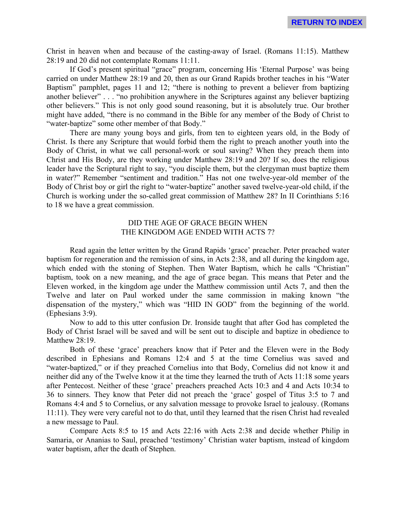Christ in heaven when and because of the casting-away of Israel. (Romans 11:15). Matthew 28:19 and 20 did not contemplate Romans 11:11.

If God's present spiritual "grace" program, concerning His 'Eternal Purpose' was being carried on under Matthew 28:19 and 20, then as our Grand Rapids brother teaches in his "Water Baptism" pamphlet, pages 11 and 12; "there is nothing to prevent a believer from baptizing another believer" . . . "no prohibition anywhere in the Scriptures against any believer baptizing other believers." This is not only good sound reasoning, but it is absolutely true. Our brother might have added, "there is no command in the Bible for any member of the Body of Christ to "water-baptize" some other member of that Body."

There are many young boys and girls, from ten to eighteen years old, in the Body of Christ. Is there any Scripture that would forbid them the right to preach another youth into the Body of Christ, in what we call personal-work or soul saving? When they preach them into Christ and His Body, are they working under Matthew 28:19 and 20? If so, does the religious leader have the Scriptural right to say, "you disciple them, but the clergyman must baptize them in water?" Remember "sentiment and tradition." Has not one twelve-year-old member of the Body of Christ boy or girl the right to "water-baptize" another saved twelve-year-old child, if the Church is working under the so-called great commission of Matthew 28? In II Corinthians 5:16 to 18 we have a great commission.

# DID THE AGE OF GRACE BEGIN WHEN THE KINGDOM AGE ENDED WITH ACTS 7?

Read again the letter written by the Grand Rapids 'grace' preacher. Peter preached water baptism for regeneration and the remission of sins, in Acts 2:38, and all during the kingdom age, which ended with the stoning of Stephen. Then Water Baptism, which he calls "Christian" baptism, took on a new meaning, and the age of grace began. This means that Peter and the Eleven worked, in the kingdom age under the Matthew commission until Acts 7, and then the Twelve and later on Paul worked under the same commission in making known "the dispensation of the mystery," which was "HID IN GOD" from the beginning of the world. (Ephesians 3:9).

Now to add to this utter confusion Dr. Ironside taught that after God has completed the Body of Christ Israel will be saved and will be sent out to disciple and baptize in obedience to Matthew 28:19.

Both of these 'grace' preachers know that if Peter and the Eleven were in the Body described in Ephesians and Romans 12:4 and 5 at the time Cornelius was saved and "water-baptized," or if they preached Cornelius into that Body, Cornelius did not know it and neither did any of the Twelve know it at the time they learned the truth of Acts 11:18 some years after Pentecost. Neither of these 'grace' preachers preached Acts 10:3 and 4 and Acts 10:34 to 36 to sinners. They know that Peter did not preach the 'grace' gospel of Titus 3:5 to 7 and Romans 4:4 and 5 to Cornelius, or any salvation message to provoke Israel to jealousy. (Romans 11:11). They were very careful not to do that, until they learned that the risen Christ had revealed a new message to Paul.

Compare Acts 8:5 to 15 and Acts 22:16 with Acts 2:38 and decide whether Philip in Samaria, or Ananias to Saul, preached 'testimony' Christian water baptism, instead of kingdom water baptism, after the death of Stephen.